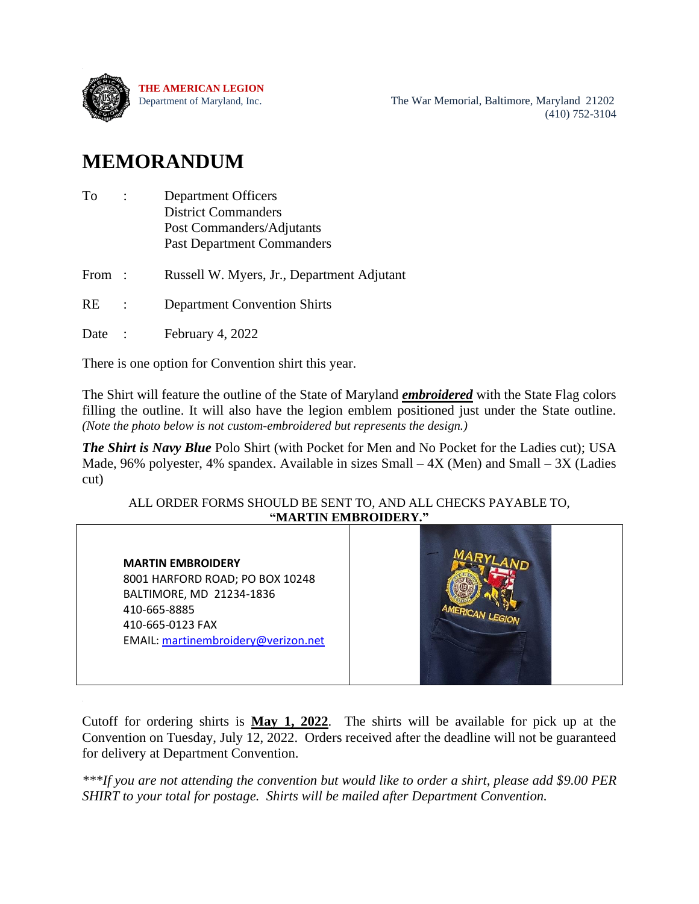

Department of Maryland, Inc. The War Memorial, Baltimore, Maryland 21202 (410) 752-3104

## **MEMORANDUM**

| To    | <b>Department Officers</b><br><b>District Commanders</b>       |
|-------|----------------------------------------------------------------|
|       | Post Commanders/Adjutants<br><b>Past Department Commanders</b> |
| From: | Russell W. Myers, Jr., Department Adjutant                     |
| RE    | <b>Department Convention Shirts</b>                            |
| Date  | February 4, 2022                                               |
|       |                                                                |

There is one option for Convention shirt this year.

The Shirt will feature the outline of the State of Maryland *embroidered* with the State Flag colors filling the outline. It will also have the legion emblem positioned just under the State outline. *(Note the photo below is not custom-embroidered but represents the design.)*

*The Shirt is Navy Blue* Polo Shirt (with Pocket for Men and No Pocket for the Ladies cut); USA Made, 96% polyester, 4% spandex. Available in sizes Small  $-4X$  (Men) and Small  $-3X$  (Ladies cut)

## ALL ORDER FORMS SHOULD BE SENT TO, AND ALL CHECKS PAYABLE TO, **"MARTIN EMBROIDERY."**

**MARTIN EMBROIDERY** 8001 HARFORD ROAD; PO BOX 10248 BALTIMORE, MD 21234-1836 410-665-8885 410-665-0123 FAX EMAIL: [martinembroidery@verizon.net](mailto:martinembroidery@verizon.net)



Cutoff for ordering shirts is **May 1, 2022**. The shirts will be available for pick up at the Convention on Tuesday, July 12, 2022. Orders received after the deadline will not be guaranteed for delivery at Department Convention.

*\*\*\*If you are not attending the convention but would like to order a shirt, please add \$9.00 PER SHIRT to your total for postage. Shirts will be mailed after Department Convention.*